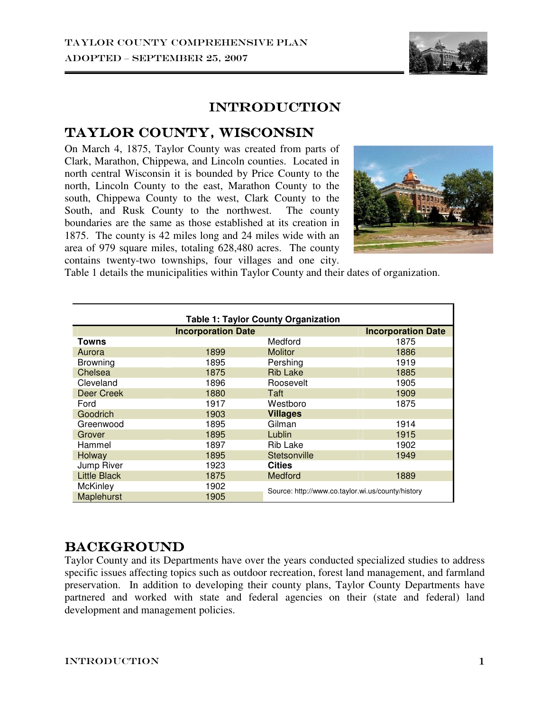

# **INTRODUCTION**

## TAYLOR COUNTY, WISCONSIN

On March 4, 1875, Taylor County was created from parts of Clark, Marathon, Chippewa, and Lincoln counties. Located in north central Wisconsin it is bounded by Price County to the north, Lincoln County to the east, Marathon County to the south, Chippewa County to the west, Clark County to the South, and Rusk County to the northwest. The county boundaries are the same as those established at its creation in 1875. The county is 42 miles long and 24 miles wide with an area of 979 square miles, totaling 628,480 acres. The county contains twenty-two townships, four villages and one city.



Table 1 details the municipalities within Taylor County and their dates of organization.

| <b>Table 1: Taylor County Organization</b> |                           |                                                   |                           |
|--------------------------------------------|---------------------------|---------------------------------------------------|---------------------------|
|                                            | <b>Incorporation Date</b> |                                                   | <b>Incorporation Date</b> |
| Towns                                      |                           | Medford                                           | 1875                      |
| Aurora                                     | 1899                      | <b>Molitor</b>                                    | 1886                      |
| <b>Browning</b>                            | 1895                      | Pershing                                          | 1919                      |
| Chelsea                                    | 1875                      | <b>Rib Lake</b>                                   | 1885                      |
| Cleveland                                  | 1896                      | Roosevelt                                         | 1905                      |
| Deer Creek                                 | 1880                      | Taft                                              | 1909                      |
| Ford                                       | 1917                      | Westboro                                          | 1875                      |
| Goodrich                                   | 1903                      | <b>Villages</b>                                   |                           |
| Greenwood                                  | 1895                      | Gilman                                            | 1914                      |
| Grover                                     | 1895                      | Lublin                                            | 1915                      |
| Hammel                                     | 1897                      | Rib Lake                                          | 1902                      |
| Holway                                     | 1895                      | Stetsonville                                      | 1949                      |
| Jump River                                 | 1923                      | <b>Cities</b>                                     |                           |
| <b>Little Black</b>                        | 1875                      | Medford                                           | 1889                      |
| <b>McKinley</b>                            | 1902                      | Source: http://www.co.taylor.wi.us/county/history |                           |
| Maplehurst                                 | 1905                      |                                                   |                           |

### **BACKGROUND**

Taylor County and its Departments have over the years conducted specialized studies to address specific issues affecting topics such as outdoor recreation, forest land management, and farmland preservation. In addition to developing their county plans, Taylor County Departments have partnered and worked with state and federal agencies on their (state and federal) land development and management policies.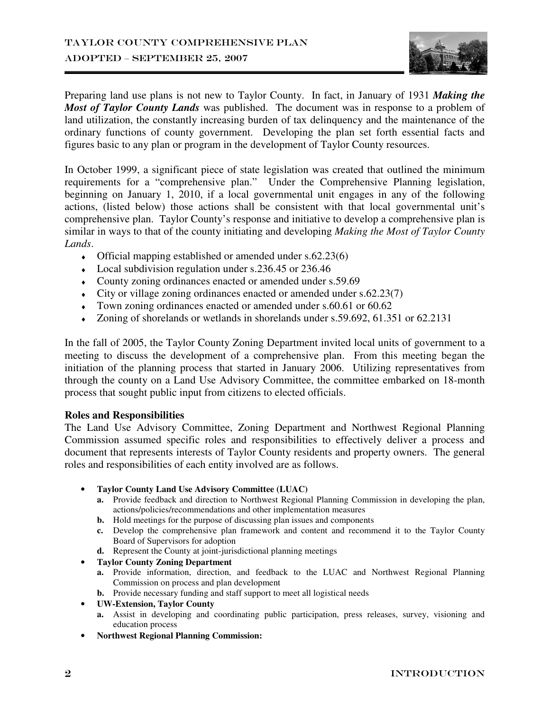

Preparing land use plans is not new to Taylor County. In fact, in January of 1931 *Making the Most of Taylor County Lands* was published. The document was in response to a problem of land utilization, the constantly increasing burden of tax delinquency and the maintenance of the ordinary functions of county government. Developing the plan set forth essential facts and figures basic to any plan or program in the development of Taylor County resources.

In October 1999, a significant piece of state legislation was created that outlined the minimum requirements for a "comprehensive plan." Under the Comprehensive Planning legislation, beginning on January 1, 2010, if a local governmental unit engages in any of the following actions, (listed below) those actions shall be consistent with that local governmental unit's comprehensive plan. Taylor County's response and initiative to develop a comprehensive plan is similar in ways to that of the county initiating and developing *Making the Most of Taylor County Lands*.

- $\bullet$  Official mapping established or amended under s.62.23(6)
- ♦ Local subdivision regulation under s.236.45 or 236.46
- ♦ County zoning ordinances enacted or amended under s.59.69
- $\bullet$  City or village zoning ordinances enacted or amended under s.62.23(7)
- ♦ Town zoning ordinances enacted or amended under s.60.61 or 60.62
- ♦ Zoning of shorelands or wetlands in shorelands under s.59.692, 61.351 or 62.2131

In the fall of 2005, the Taylor County Zoning Department invited local units of government to a meeting to discuss the development of a comprehensive plan. From this meeting began the initiation of the planning process that started in January 2006. Utilizing representatives from through the county on a Land Use Advisory Committee, the committee embarked on 18-month process that sought public input from citizens to elected officials.

#### **Roles and Responsibilities**

The Land Use Advisory Committee, Zoning Department and Northwest Regional Planning Commission assumed specific roles and responsibilities to effectively deliver a process and document that represents interests of Taylor County residents and property owners. The general roles and responsibilities of each entity involved are as follows.

- **Taylor County Land Use Advisory Committee (LUAC)** 
	- **a.** Provide feedback and direction to Northwest Regional Planning Commission in developing the plan, actions/policies/recommendations and other implementation measures
	- **b.** Hold meetings for the purpose of discussing plan issues and components
	- **c.** Develop the comprehensive plan framework and content and recommend it to the Taylor County Board of Supervisors for adoption
	- **d.** Represent the County at joint-jurisdictional planning meetings

#### • **Taylor County Zoning Department**

- **a.** Provide information, direction, and feedback to the LUAC and Northwest Regional Planning Commission on process and plan development
- **b.** Provide necessary funding and staff support to meet all logistical needs
- **UW-Extension, Taylor County** 
	- **a.** Assist in developing and coordinating public participation, press releases, survey, visioning and education process
- **Northwest Regional Planning Commission:**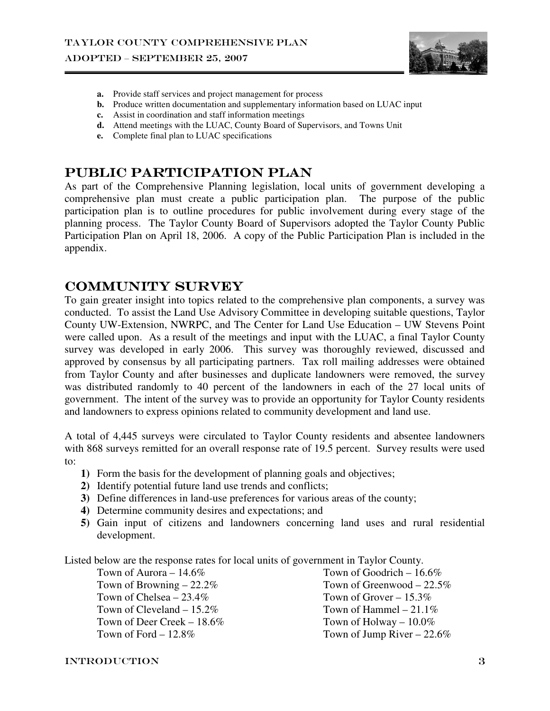

- **a.** Provide staff services and project management for process
- **b.** Produce written documentation and supplementary information based on LUAC input
- **c.** Assist in coordination and staff information meetings
- **d.** Attend meetings with the LUAC, County Board of Supervisors, and Towns Unit
- **e.** Complete final plan to LUAC specifications

### PUBLIC PARTICIPATION PLAN

As part of the Comprehensive Planning legislation, local units of government developing a comprehensive plan must create a public participation plan. The purpose of the public participation plan is to outline procedures for public involvement during every stage of the planning process. The Taylor County Board of Supervisors adopted the Taylor County Public Participation Plan on April 18, 2006. A copy of the Public Participation Plan is included in the appendix.

### Community Survey

To gain greater insight into topics related to the comprehensive plan components, a survey was conducted. To assist the Land Use Advisory Committee in developing suitable questions, Taylor County UW-Extension, NWRPC, and The Center for Land Use Education – UW Stevens Point were called upon. As a result of the meetings and input with the LUAC, a final Taylor County survey was developed in early 2006. This survey was thoroughly reviewed, discussed and approved by consensus by all participating partners. Tax roll mailing addresses were obtained from Taylor County and after businesses and duplicate landowners were removed, the survey was distributed randomly to 40 percent of the landowners in each of the 27 local units of government. The intent of the survey was to provide an opportunity for Taylor County residents and landowners to express opinions related to community development and land use.

A total of 4,445 surveys were circulated to Taylor County residents and absentee landowners with 868 surveys remitted for an overall response rate of 19.5 percent.Survey results were used to:

- **1)** Form the basis for the development of planning goals and objectives;
- **2)** Identify potential future land use trends and conflicts;
- **3)** Define differences in land-use preferences for various areas of the county;
- **4)** Determine community desires and expectations; and
- **5)** Gain input of citizens and landowners concerning land uses and rural residential development.

Listed below are the response rates for local units of government in Taylor County.

Town of Aurora – 14.6% Town of Browning – 22.2% Town of Chelsea – 23.4% Town of Cleveland – 15.2% Town of Deer Creek – 18.6% Town of Ford  $-12.8\%$ 

Town of Goodrich – 16.6% Town of Greenwood – 22.5% Town of Grover – 15.3% Town of Hammel  $-21.1\%$ Town of Holway – 10.0% Town of Jump River – 22.6%

#### introduction 3